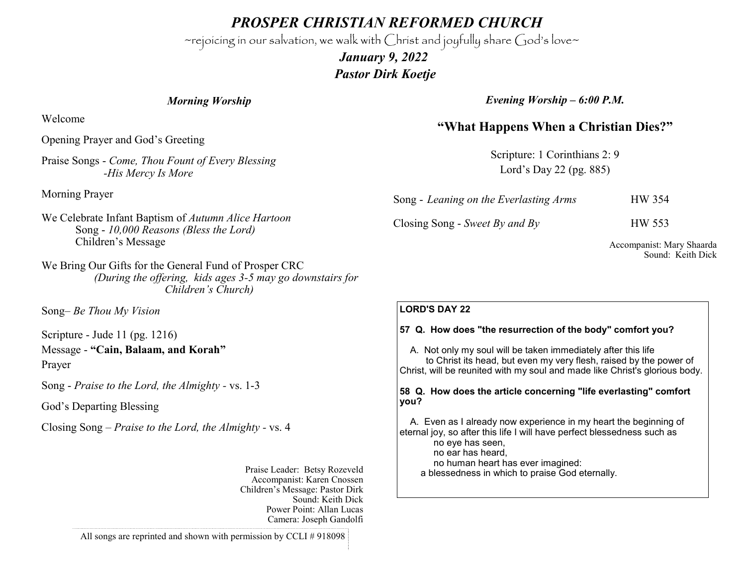*PROSPER CHRISTIAN REFORMED CHURCH*

~rejoicing in our salvation, we walk with Christ and joyfully share God's love~

 *January 9, 2022 Pastor Dirk Koetje* 

#### *Morning Worship*

Welcome

Opening Prayer and God's Greeting

Praise Songs - *Come, Thou Fount of Every Blessing -His Mercy Is More*

Morning Prayer

We Celebrate Infant Baptism of *Autumn Alice Hartoon*  Song - *10,000 Reasons (Bless the Lord)* Children's Message

We Bring Our Gifts for the General Fund of Prosper CRC *(During the offering, kids ages 3-5 may go downstairs for Children's Church)*

Song– *Be Thou My Vision* 

Scripture - Jude 11 (pg. 1216) Message - **"Cain, Balaam, and Korah"** Prayer

Song - *Praise to the Lord, the Almighty -* vs. 1-3

God's Departing Blessing

Closing Song – *Praise to the Lord, the Almighty -* vs. 4

Praise Leader: Betsy Rozeveld Accompanist: Karen Cnossen Children's Message: Pastor Dirk Sound: Keith Dick Power Point: Allan Lucas Camera: Joseph Gandolfi

All songs are reprinted and shown with permission by CCLI # 918098

*Evening Worship – 6:00 P.M.*

# **"What Happens When a Christian Dies?"**

Scripture: 1 Corinthians 2: 9 Lord's Day 22 (pg. 885)

| Song - Leaning on the Everlasting Arms | <b>HW 354</b> |
|----------------------------------------|---------------|
| Closing Song - Sweet By and By         | HW 553        |

Accompanist: Mary Shaarda Sound: Keith Dick

### **LORD'S DAY 22**

### **57 Q. How does "the resurrection of the body" comfort you?**

 A. Not only my soul will be taken immediately after this life to Christ its head, but even my very flesh, raised by the power of Christ, will be reunited with my soul and made like Christ's glorious body.

#### **58 Q. How does the article concerning "life everlasting" comfort you?**

 A. Even as I already now experience in my heart the beginning of eternal joy, so after this life I will have perfect blessedness such as

no eye has seen,

no ear has heard,

no human heart has ever imagined:

a blessedness in which to praise God eternally.